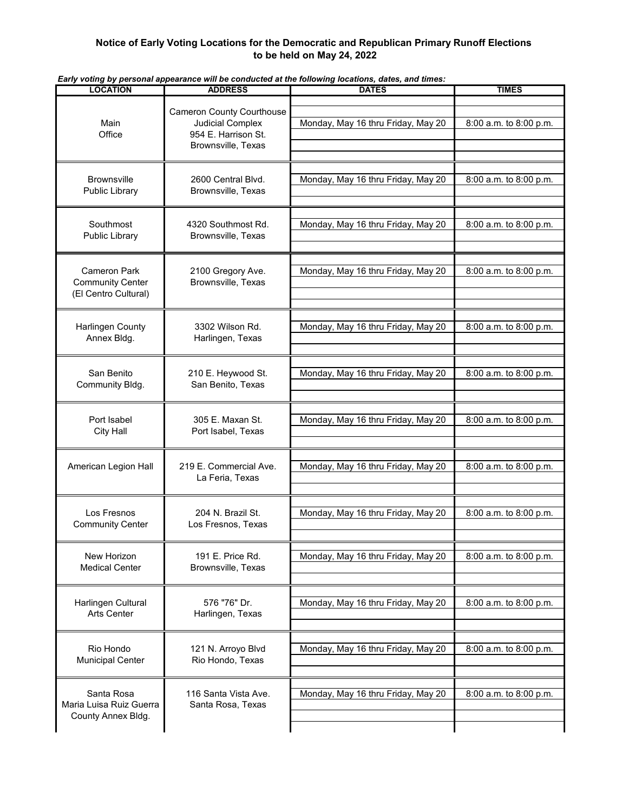## **Notice of Early Voting Locations for the Democratic and Republican Primary Runoff Elections to be held on May 24, 2022**

| <b>ADDRESS</b>                                                                                    | <b>DATES</b>                       | <b>TIMES</b>           |
|---------------------------------------------------------------------------------------------------|------------------------------------|------------------------|
| <b>Cameron County Courthouse</b><br>Judicial Complex<br>954 E. Harrison St.<br>Brownsville, Texas | Monday, May 16 thru Friday, May 20 | 8:00 a.m. to 8:00 p.m. |
| 2600 Central Blvd.<br>Brownsville, Texas                                                          | Monday, May 16 thru Friday, May 20 | 8:00 a.m. to 8:00 p.m. |
| 4320 Southmost Rd.<br>Brownsville, Texas                                                          | Monday, May 16 thru Friday, May 20 | 8:00 a.m. to 8:00 p.m. |
| 2100 Gregory Ave.<br>Brownsville, Texas                                                           | Monday, May 16 thru Friday, May 20 | 8:00 a.m. to 8:00 p.m. |
| 3302 Wilson Rd.<br>Harlingen, Texas                                                               | Monday, May 16 thru Friday, May 20 | 8:00 a.m. to 8:00 p.m. |
| 210 E. Heywood St.<br>San Benito, Texas                                                           | Monday, May 16 thru Friday, May 20 | 8:00 a.m. to 8:00 p.m. |
| 305 E. Maxan St.<br>Port Isabel, Texas                                                            | Monday, May 16 thru Friday, May 20 | 8:00 a.m. to 8:00 p.m. |
| 219 E. Commercial Ave.<br>La Feria, Texas                                                         | Monday, May 16 thru Friday, May 20 | 8:00 a.m. to 8:00 p.m. |
| 204 N. Brazil St.<br>Los Fresnos, Texas                                                           | Monday, May 16 thru Friday, May 20 | 8:00 a.m. to 8:00 p.m. |
| 191 E. Price Rd.<br>Brownsville, Texas                                                            | Monday, May 16 thru Friday, May 20 | 8:00 a.m. to 8:00 p.m. |
| 576 "76" Dr.<br>Harlingen, Texas                                                                  | Monday, May 16 thru Friday, May 20 | 8:00 a.m. to 8:00 p.m. |
| 121 N. Arroyo Blvd<br>Rio Hondo, Texas                                                            | Monday, May 16 thru Friday, May 20 | 8:00 a.m. to 8:00 p.m. |
| 116 Santa Vista Ave.<br>Santa Rosa, Texas                                                         | Monday, May 16 thru Friday, May 20 | 8:00 a.m. to 8:00 p.m. |
|                                                                                                   |                                    |                        |

*Early voting by personal appearance will be conducted at the following locations, dates, and times:*